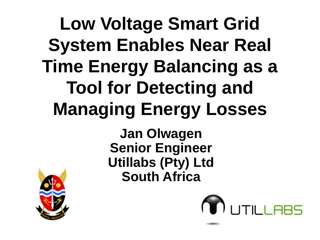### **Low Voltage Smart Grid System Enables Near Real Time Energy Balancing as a Tool for Detecting and Managing Energy Losses**

**Jan Olwagen Senior Engineer Utillabs (Pty) Ltd South Africa**



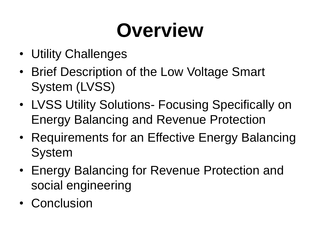# **Overview**

- Utility Challenges
- Brief Description of the Low Voltage Smart System (LVSS)
- LVSS Utility Solutions- Focusing Specifically on Energy Balancing and Revenue Protection
- Requirements for an Effective Energy Balancing System
- Energy Balancing for Revenue Protection and social engineering
- Conclusion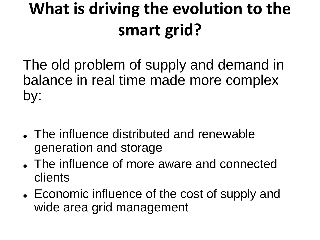#### **What is driving the evolution to the smart grid?**

The old problem of supply and demand in balance in real time made more complex by:

- The influence distributed and renewable generation and storage
- The influence of more aware and connected clients
- Economic influence of the cost of supply and wide area grid management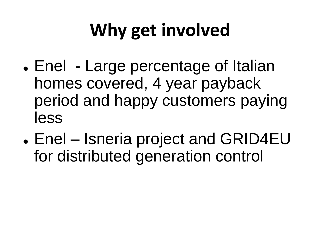### **Why get involved**

- Enel Large percentage of Italian homes covered, 4 year payback period and happy customers paying less
- Enel Isneria project and GRID4EU for distributed generation control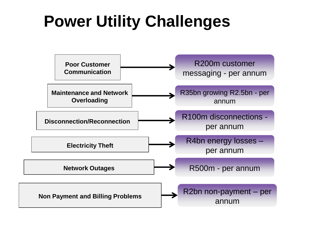#### **Power Utility Challenges**

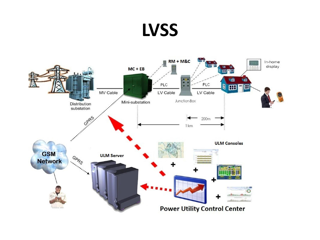#### **LVSS**

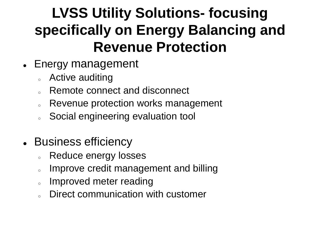#### **LVSS Utility Solutions- focusing specifically on Energy Balancing and Revenue Protection**

- Energy management
	- Active auditing
	- Remote connect and disconnect
	- o Revenue protection works management
	- Social engineering evaluation tool
- Business efficiency
	- Reduce energy losses
	- Improve credit management and billing
	- Improved meter reading
	- Direct communication with customer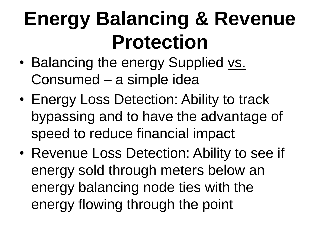# **Energy Balancing & Revenue Protection**

- Balancing the energy Supplied vs. Consumed – a simple idea
- Energy Loss Detection: Ability to track bypassing and to have the advantage of speed to reduce financial impact
- Revenue Loss Detection: Ability to see if energy sold through meters below an energy balancing node ties with the energy flowing through the point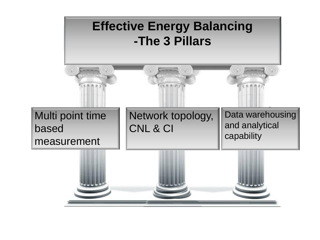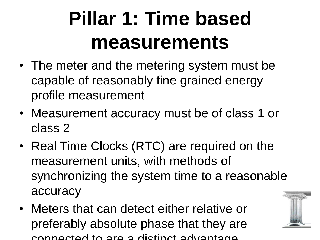# **Pillar 1: Time based measurements**

- The meter and the metering system must be capable of reasonably fine grained energy profile measurement
- Measurement accuracy must be of class 1 or class 2
- Real Time Clocks (RTC) are required on the measurement units, with methods of synchronizing the system time to a reasonable accuracy
- Meters that can detect either relative or preferably absolute phase that they are connected to are a distinct advantage

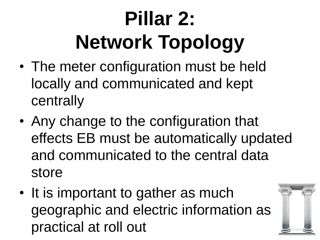# **Pillar 2: Network Topology**

- The meter configuration must be held locally and communicated and kept centrally
- Any change to the configuration that effects EB must be automatically updated and communicated to the central data store
- It is important to gather as much geographic and electric information as practical at roll out

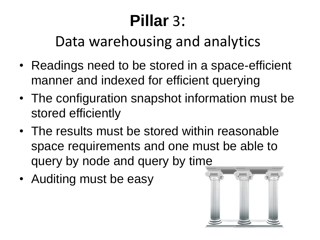#### **Pillar** 3:

Data warehousing and analytics

- Readings need to be stored in a space-efficient manner and indexed for efficient querying
- The configuration snapshot information must be stored efficiently
- The results must be stored within reasonable space requirements and one must be able to query by node and query by time
- Auditing must be easy

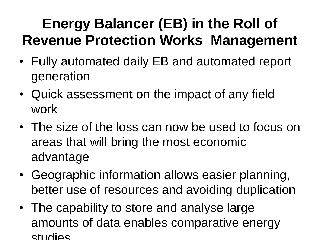#### **Energy Balancer (EB) in the Roll of Revenue Protection Works Management**

- Fully automated daily EB and automated report generation
- Quick assessment on the impact of any field work
- The size of the loss can now be used to focus on areas that will bring the most economic advantage
- Geographic information allows easier planning, better use of resources and avoiding duplication
- The capability to store and analyse large amounts of data enables comparative energy studies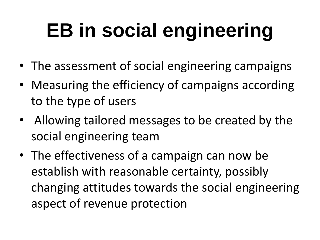# **EB in social engineering**

- The assessment of social engineering campaigns
- Measuring the efficiency of campaigns according to the type of users
- Allowing tailored messages to be created by the social engineering team
- The effectiveness of a campaign can now be establish with reasonable certainty, possibly changing attitudes towards the social engineering aspect of revenue protection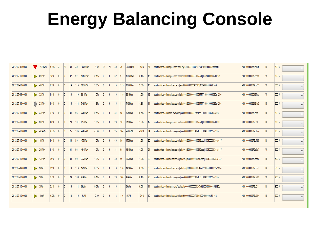#### **Energy Balancing Console**

| 2012-07-09 00:00 |                | -209kWh | $-6.2%$ | 31                      | 29             | 39              | 30  | -3644kWh   | $-3.8%$ | 31             | 29 | 39              | 30 <sup>°</sup> | -3644kWh   | $-3.8%$ | 31 | south africaleskom paulshof ss ruby 60000000004d268 10040000035cb5f1      | 400100000672c70b |   | 800:5 |  |
|------------------|----------------|---------|---------|-------------------------|----------------|-----------------|-----|------------|---------|----------------|----|-----------------|-----------------|------------|---------|----|---------------------------------------------------------------------------|------------------|---|-------|--|
| 2012-07-10 00:00 |                | 69kWh   | 2.5%    | $\overline{0}$          | $\overline{0}$ | 32              | 97  | 1382kWh    | 2.1%    | $\overline{0}$ |    | 32              | 97              | 1382kWh    | 2.1%    |    | south africaleskomlpaulshof sslloerie(600000000052c7c6)10040000035d120d   | 400100000672b49f | W | 800:5 |  |
| 2012-07-10 00:00 | ь              | 48kWh   | 2.5%    | $\overline{0}$          | $\overline{0}$ | 14              | 115 | 1076kWh    | 2.6%    | $\overline{0}$ |    | 14              | 115             | 1076kWh    | 2.6%    |    | south africaleskomlalbatros sslelm(6000000004ff5b9)10040000035f8148       | 400100000672bd53 | W | 500:5 |  |
| 2012-07-09 00:00 | ь              | 32kWh   | 1.5%    | $\overline{0}$          |                | 10 <sup>1</sup> |     | 119 891kWh | 1.5%    | $\overline{0}$ |    | 10              |                 | 119 891kWh | 1.5%    |    | south africaleskomlalbatros sslalbatros 6000000005477f7 10040000035e1254  | 4001000006613fbc | W | 500:5 |  |
| 2012-07-09 00:00 | $\overline{O}$ | 23kWh   | 1.5%    | $\overline{0}$          | $\vert$ 0      | 16              |     | 113 749kWh | 1.8%    | $\overline{0}$ |    | 16              |                 | 113 749kWh | 1.8%    |    | south africaleskomlalbatros sslalbatros 60000000005477f7 10040000035e1254 | 40010000066131c3 | R | 500:5 |  |
| 2012-07-10 00:00 | ь              | 32kWh   | 0.7%    | $\overline{0}$          | $\vert$ 0      | 34              | 95  | 726kWh     | 0.6%    | $\overline{0}$ |    | 34              | 95              | 726kWh     | 0.6%    | 36 | south africaleskom fourways ss ann 60000000004fe1b6 10040000035dc39b      | 400100000672cffa | R | 800:5 |  |
| 2012-07-10 00:00 | ь              | 30kWh   | 1.6%    | $\overline{0}$          | $\overline{0}$ | 28              | 101 | 614kWh     | 1.5%    | $\overline{0}$ |    | 28              | 101             | 614kWh     | 1.5%    | 12 | south africaleskom paulshof ss loerie 60000000052c7c6 10040000035d120d    | 400100000672c3ff | R | 800:5 |  |
| 2012-07-10 00:00 | ь              | -20kWh  | $-0.6%$ | $\overline{0}$          | $\overline{0}$ | 25              | 104 | 486kWh     | $-0.6%$ | $\overline{0}$ |    | 25              | 104             | 486kWh     | $-0.6%$ | 34 | south africaleskom fourways ss ann 6000000004fe1b6 10040000035dc39b       | 400100000672bbdd | B | 800:5 |  |
| 2012-07-10 00:00 | ь              | 19kWh   | 1.4%    | $\overline{0}$          | $\overline{0}$ | 40              | 89  | 475kWh     | 1.5%    | $\overline{0}$ |    | 40              | 89              | 475kWh     | 1.5%    |    | south africaleskomlalbatros sslalbatros 600000000542bce 10040000035ca437  | 400100000672bf29 | R | 500:5 |  |
| 2012-07-10 00:00 | ь              | 20kWh   | 1.1%    | $\overline{\mathbf{0}}$ | $\overline{0}$ | 31              | 98  | 461kWh     | 1.0%    | $\overline{0}$ |    | 31              | 98              | 461kWh     | 1.0%    | 21 | south africaleskomlalbatros sslalbatros 600000000542bce 10040000035ca437  | 400100000672b9a7 | W | 500:5 |  |
| 2012-07-10 00:00 | ь              | 12kWh   | 0.9%    | $\overline{0}$          | $\overline{0}$ | 30              | 99  | 372kWh     | 1.0%    | l0             |    | 30              | 99              | 372kWh     | 1.0%    | 20 | south africaleskomlalbatros sslalbatros 600000000542bce 10040000035ca437  | 400100000672cec7 | R | 500:5 |  |
| 2012-07-09 00:00 | ь              | 3kWh    | 0.2%    | $\overline{0}$          | $\vert$ 0      | 13 <sup>°</sup> | 116 | 145kWh     | 0.3%    | $\overline{0}$ |    | 13 <sup>°</sup> | 116             | 145kWh     | 0.3%    |    | south africaleskomlalbatros sslalbatros 6000000005477f7 10040000035e1254  | 400100000672ccbd | B | 500:5 |  |
| 2012-07-10 00:00 | ь              | 3kWh    | 0.1%    | $\overline{0}$          | $\vert$ 0      | 29              | 100 | 47kWh      | 0.1%    | $\overline{0}$ |    | 29              | 100             | 47kWh      | 0.1%    | 30 | south africaleskom fourways ss ann 6000000004fe1b6 10040000035dc39b       | 400100000672d7f0 | W | 800:5 |  |
| 2012-07-10 00:00 | ь              | 3kWh    | 0.2%    | $\overline{0}$          | $\vert$ 0      | 16              | 113 | 6kWh       | 0.0%    | $\overline{0}$ |    | 16              |                 | 113 6kWh   | 0.0%    |    | south africaleskom paulshof ss loerie 60000000052c7c6 10040000035d120d    | 400100000672b211 | R | 800:5 |  |
| 2012-07-10 00:00 | ь              | -1kWh   | $-0.0%$ | $\overline{0}$          | $\overline{0}$ | 13              | 116 | -5kWh      | $-0.0%$ | $\overline{0}$ |    | 13 <sup>°</sup> | 116             | $-5kWh$    | $-0.0%$ |    | south africaleskom albatros sslelm 6000000004ff5b9 10040000035f8148       | 400100000672d304 | R | 500:5 |  |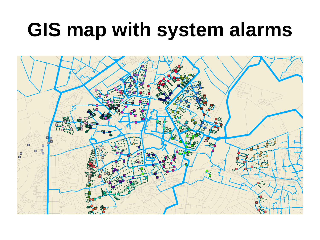### **GIS map with system alarms**